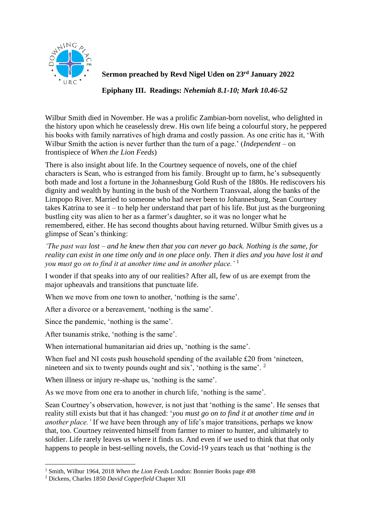

## **Sermon preached by Revd Nigel Uden on 23rd January 2022**

**Epiphany III. Readings:** *Nehemiah 8.1-10; Mark 10.46-52*

Wilbur Smith died in November. He was a prolific Zambian-born novelist, who delighted in the history upon which he ceaselessly drew. His own life being a colourful story, he peppered his books with family narratives of high drama and costly passion. As one critic has it, 'With Wilbur Smith the action is never further than the turn of a page.' (*Independent* – on frontispiece of *When the Lion Feeds*)

There is also insight about life. In the Courtney sequence of novels, one of the chief characters is Sean, who is estranged from his family. Brought up to farm, he's subsequently both made and lost a fortune in the Johannesburg Gold Rush of the 1880s. He rediscovers his dignity and wealth by hunting in the bush of the Northern Transvaal, along the banks of the Limpopo River. Married to someone who had never been to Johannesburg, Sean Courtney takes Katrina to see it – to help her understand that part of his life. But just as the burgeoning bustling city was alien to her as a farmer's daughter, so it was no longer what he remembered, either. He has second thoughts about having returned. Wilbur Smith gives us a glimpse of Sean's thinking:

*'The past was lost – and he knew then that you can never go back. Nothing is the same, for reality can exist in one time only and in one place only. Then it dies and you have lost it and you must go on to find it at another time and in another place.'* <sup>1</sup>

I wonder if that speaks into any of our realities? After all, few of us are exempt from the major upheavals and transitions that punctuate life.

When we move from one town to another, 'nothing is the same'.

After a divorce or a bereavement, 'nothing is the same'.

Since the pandemic, 'nothing is the same'.

After tsunamis strike, 'nothing is the same'.

When international humanitarian aid dries up, 'nothing is the same'.

When fuel and NI costs push household spending of the available £20 from 'nineteen, nineteen and six to twenty pounds ought and six', 'nothing is the same'. <sup>2</sup>

When illness or injury re-shape us, 'nothing is the same'.

As we move from one era to another in church life, 'nothing is the same'.

Sean Courtney's observation, however, is not just that 'nothing is the same'. He senses that reality still exists but that it has changed: '*you must go on to find it at another time and in another place.'* If we have been through any of life's major transitions, perhaps we know that, too. Courtney reinvented himself from farmer to miner to hunter, and ultimately to soldier. Life rarely leaves us where it finds us. And even if we used to think that that only happens to people in best-selling novels, the Covid-19 years teach us that 'nothing is the

<sup>1</sup> Smith, Wilbur 1964, 2018 *When the Lion Feeds* London: Bonnier Books page 498

<sup>2</sup> Dickens, Charles 1850 *David Copperfield* Chapter XII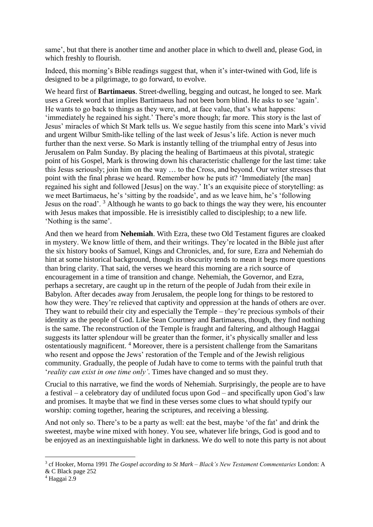same', but that there is another time and another place in which to dwell and, please God, in which freshly to flourish.

Indeed, this morning's Bible readings suggest that, when it's inter-twined with God, life is designed to be a pilgrimage, to go forward, to evolve.

We heard first of **Bartimaeus**. Street-dwelling, begging and outcast, he longed to see. Mark uses a Greek word that implies Bartimaeus had not been born blind. He asks to see 'again'. He wants to go back to things as they were, and, at face value, that's what happens: 'immediately he regained his sight.' There's more though; far more. This story is the last of Jesus' miracles of which St Mark tells us. We segue hastily from this scene into Mark's vivid and urgent Wilbur Smith-like telling of the last week of Jesus's life. Action is never much further than the next verse. So Mark is instantly telling of the triumphal entry of Jesus into Jerusalem on Palm Sunday. By placing the healing of Bartimaeus at this pivotal, strategic point of his Gospel, Mark is throwing down his characteristic challenge for the last time: take this Jesus seriously; join him on the way … to the Cross, and beyond. Our writer stresses that point with the final phrase we heard. Remember how he puts it? 'Immediately [the man] regained his sight and followed [Jesus] on the way.' It's an exquisite piece of storytelling: as we meet Bartimaeus, he's 'sitting by the roadside', and as we leave him, he's 'following Jesus on the road'. <sup>3</sup> Although he wants to go back to things the way they were, his encounter with Jesus makes that impossible. He is irresistibly called to discipleship; to a new life. 'Nothing is the same'.

And then we heard from **Nehemiah**. With Ezra, these two Old Testament figures are cloaked in mystery. We know little of them, and their writings. They're located in the Bible just after the six history books of Samuel, Kings and Chronicles, and, for sure, Ezra and Nehemiah do hint at some historical background, though its obscurity tends to mean it begs more questions than bring clarity. That said, the verses we heard this morning are a rich source of encouragement in a time of transition and change. Nehemiah, the Governor, and Ezra, perhaps a secretary, are caught up in the return of the people of Judah from their exile in Babylon. After decades away from Jerusalem, the people long for things to be restored to how they were. They're relieved that captivity and oppression at the hands of others are over. They want to rebuild their city and especially the Temple – they're precious symbols of their identity as the people of God. Like Sean Courtney and Bartimaeus, though, they find nothing is the same. The reconstruction of the Temple is fraught and faltering, and although Haggai suggests its latter splendour will be greater than the former, it's physically smaller and less ostentatiously magnificent. <sup>4</sup> Moreover, there is a persistent challenge from the Samaritans who resent and oppose the Jews' restoration of the Temple and of the Jewish religious community. Gradually, the people of Judah have to come to terms with the painful truth that '*reality can exist in one time only'*. Times have changed and so must they.

Crucial to this narrative, we find the words of Nehemiah. Surprisingly, the people are to have a festival – a celebratory day of undiluted focus upon God – and specifically upon God's law and promises. It maybe that we find in these verses some clues to what should typify our worship: coming together, hearing the scriptures, and receiving a blessing.

And not only so. There's to be a party as well: eat the best, maybe 'of the fat' and drink the sweetest, maybe wine mixed with honey. You see, whatever life brings, God is good and to be enjoyed as an inextinguishable light in darkness. We do well to note this party is not about

<sup>3</sup> cf Hooker, Morna 1991 *The Gospel according to St Mark* – *Black's New Testament Commentaries* London: A & C Black page 252

<sup>4</sup> Haggai 2.9